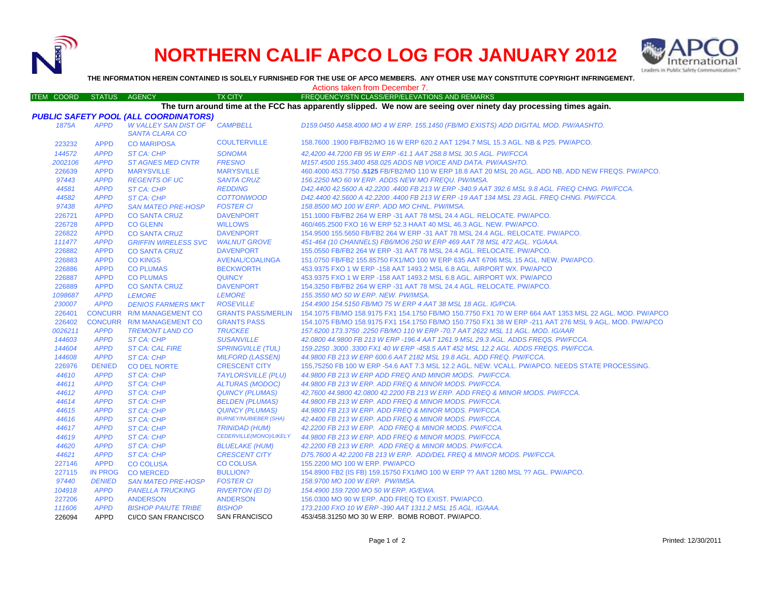

226094 APPD CI/CO SAN FRANCISCO

## **NORTHERN CALIF APCO LOG FOR JANUARY 2012**



**THE INFORMATION HEREIN CONTAINED IS SOLELY FURNISHED FOR THE USE OF APCO MEMBERS. ANY OTHER USE MAY CONSTITUTE COPYRIGHT INFRINGEMENT.**

## ITEM COORD STATUS AGENCY TX CITY TREQUENCY/STN CLASS/ERP/ELEVATIONS AND REMARKS *PUBLIC SAFETY POOL (ALL COORDINATORS) 1875A APPD W VALLEY SAN DIST OF SANTA CLARA COCAMPBELL D159.0450 A458.4000 MO 4 W ERP. 155.1450 (FB/MO EXISTS) ADD DIGITAL MOD. PW/AASHTO.* 223232 APPD CO MARIPOSA COULTERVILLE 158.7600 .1900 FB/FB2/MO 16 W ERP 620.2 AAT 1294.7 MSL 15.3 AGL. NB & P25. PW/APCO. *144572 APPD ST CA: CHP SONOMA 42,4200 44.7200 FB 95 W ERP -61.1 AAT 258.8 MSL 30.5 AGL. PW/FCCA 2002106 APPD ST AGNES MED CNTR FRESNO M157.4500 155.3400 458.025 ADDS NB VOICE AND DATA. PW/AASHTO.* 226639 APPD**MARYSVILLE**  MARYSVILLE 460.4000 453.7750 **.5125** FB/FB2/MO 110 W ERP 18.8 AAT 20 MSL 20 AGL. ADD NB, ADD NEW FREQS. PW/APCO. *97443 APPD REGENTS OF UC SANTA CRUZ 156.2250 MO 60 W ERP. ADDS NEW MO FREQU. PW/IMSA. 44581 APPD ST CA: CHP REDDING D42.4400 42.5600 A 42.2200 .4400 FB 213 W ERP -340.9 AAT 392.6 MSL 9.8 AGL. FREQ CHNG. PW/FCCA. 44582 APPD ST CA: CHP COTTONWOOD D42.4400 42.5600 A 42.2200 .4400 FB 213 W ERP -19 AAT 134 MSL 23 AGL. FREQ CHNG. PW/FCCA. 97438 APPD SAN MATEO PRE-HOSP FOSTER CI 158.8500 MO 100 W ERP. ADD MO CHNL. PW/IMSA.* 226721 APPD CO SANTA CRUZ DAVENPORT 151.1000 FB/FB2 264 W ERP -31 AAT 78 MSL 24.4 AGL. RELOCATE. PW/APCO. 226728 APPD CO GLENN WILLOWS 460/465.2500 FXO 16 W ERP 52.3 HAAT 40 MSL 46.3 AGL. NEW. PW/APCO. 226822 APPD CO SANTA CRUZ DAVENPORT 154.9500 155.5650 FB/FB2 264 W ERP -31 AAT 78 MSL 24.4 AGL. RELOCATE. PW/APCO. *111477 APPD GRIFFIN WIRELESS SVC WALNUT GROVE 451-464 (10 CHANNELS) FB6/MO6 250 W ERP 469 AAT 78 MSL 472 AGL. YG/AAA.* 226882 APPD CO SANTA CRUZ DAVENPORT 155.0550 FB/FB2 264 W ERP -31 AAT 78 MSL 24.4 AGL. RELOCATE. PW/APCO. 226883 APPD CO KINGS AVENAL/COALINGA 151.0750 FB/FB2 155.85750 FX1/MO 100 W ERP 635 AAT 6706 MSL 15 AGL. NEW. PW/APCO. 226886 APPD CO PLUMAS BECKWORTH 453.9375 FXO 1 W ERP -158 AAT 1493.2 MSL 6.8 AGL. AIRPORT WX. PW/APCO 226887 APPD CO PLUMAS QUINCY 453.9375 FXO 1 W ERP -158 AAT 1493.2 MSL 6.8 AGL. AIRPORT WX. PW/APCO 226889 APPD CO SANTA CRUZ DAVENPORT 154.3250 FB/FB2 264 W ERP -31 AAT 78 MSL 24.4 AGL. RELOCATE. PW/APCO. *1098687 APPD LEMORE LEMORE 155.3550 MO 50 W ERP. NEW. PW/IMSA. 230007 APPD DENIOS FARMERS MKT ROSEVILLE 154.4900 154.5150 FB/MO 75 W ERP 4 AAT 38 MSL 18 AGL. IG/PCIA.* 226401 CONCURR R/M MANAGEMENT CO GRANTS PASS/MERLIN 154.1075 FB/MO 158.9175 FX1 154.1750 FB/MO 150.7750 FX1 70 W ERP 664 AAT 1353 MSL 22 AGL. MOD. PW/APCO 226402 CONCURR R/M MANAGEMENT CO GRANTS PASS 154.1075 FB/MO 158.9175 FX1 154.1750 FB/MO 150.7750 FX1 38 W ERP -211 AAT 276 MSL 9 AGL. MOD. PW/APCO *0026211 APPD TREMONT LAND CO TRUCKEE 157.6200 173.3750 .2250 FB/MO 110 W ERP -70.7 AAT 2622 MSL 11 AGL. MOD. IG/AAR 144603 APPD ST CA: CHP SUSANVILLE 42.0800 44.9800 FB 213 W ERP -196.4 AAT 1261.9 MSL 29.3 AGL. ADDS FREQS. PW/FCCA. 144604 APPD ST CA: CAL FIRE SPRINGVILLE (TUL) 159.2250 .3000 .3300 FX1 40 W ERP -458.5 AAT 452 MSL 12.2 AGL. ADDS FREQS. PW/FCCA. 144608 APPD ST CA: CHP MILFORD (LASSEN) 44.9800 FB 213 W ERP 600.6 AAT 2182 MSL 19.8 AGL. ADD FREQ. PW/FCCA.* 226976 DENIED CO DEL NORTE CRESCENT CITY 155,75250 FB 100 W ERP -54.6 AAT 7.3 MSL 12.2 AGL. NEW: VCALL. PW/APCO. NEEDS STATE PROCESSING. *44610 APPD ST CA: CHP TAYLORSVILLE (PLU) 44.9800 FB 213 W ERP ADD FREQ AND MINOR MODS. PW/FCCA. 44611 APPD ST CA: CHP ALTURAS (MODOC) 44.9800 FB 213 W ERP. ADD FREQ & MINOR MODS. PW/FCCA. 44612 APPD ST CA: CHP QUINCY (PLUMAS) 42,7600 44.9800 42.0800 42.2200 FB 213 W ERP. ADD FREQ & MINOR MODS. PW/FCCA. 44614 APPD ST CA: CHP BELDEN (PLUMAS) 44.9800 FB 213 W ERP. ADD FREQ & MINOR MODS. PW/FCCA. 44615 APPD ST CA: CHP QUINCY (PLUMAS) 44.9800 FB 213 W ERP. ADD FREQ & MINOR MODS. PW/FCCA. 44616 APPD ST CA: CHP BURNEY/NUBIEBER (SHA) 42.4400 FB 213 W ERP. ADD FREQ & MINOR MODS. PW/FCCA. 44617 APPD ST CA: CHP TRINIDAD (HUM) 42.2200 FB 213 W ERP. ADD FREQ & MINOR MODS. PW/FCCA. 44619 APPD ST CA: CHP CEDERVILLE(MONO)/LIKELY*  **BLUELAKE (HUM)** *44.9800 FB 213 W ERP. ADD FREQ & MINOR MODS. PW/FCCA. 44620 APPD ST CA: CHP BLUELAKE (HUM) 42.2200 FB 213 W ERP. ADD FREQ & MINOR MODS. PW/FCCA. 44621 APPD ST CA: CHP CRESCENT CITY D75.7600 A 42.2200 FB 213 W ERP. ADD/DEL FREQ & MINOR MODS. PW/FCCA.* 227146 APPD CO COLUSA CO COLUSA 155.2200 MO 100 W ERP. PW/APCO 227115 IN PROG CO MERCED BULLION? 154.8900 FB2 (IS FB) 159.15750 FX1/MO 100 W ERP ?? AAT 1280 MSL ?? AGL. PW/APCO. *97440 DENIED SAN MATEO PRE-HOSP FOSTER CI 158.9700 MO 100 W ERP. PW/IMSA. 104918 APPD PANELLA TRUCKING RIVERTON (El D) 154.4900 159.7200 MO 50 W ERP. IG/EWA.* 227206 APPD ANDERSON ANDERSON 156.0300 MO 90 W ERP. ADD FREQ TO EXIST. PW/APCO. *111606 APPD BISHOP PAIUTE TRIBE BISHOP 173.2100 FXO 10 W ERP -390 AAT 1311.2 MSL 15 AGL. IG/AAA.* Actions taken from December 7.**The turn around time at the FCC has apparently slipped. We now are seeing over ninety day processing times again.**

SAN FRANCISCO 453/458.31250 MO 30 W ERP. BOMB ROBOT. PW/APCO.